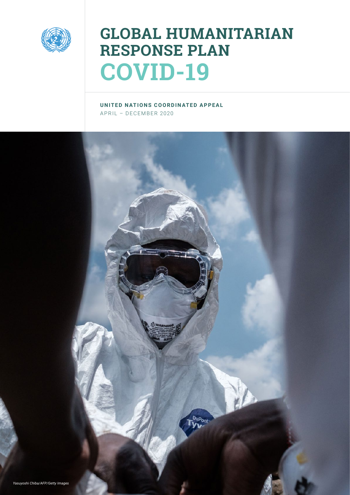

## **GLOBAL HUMANITARIAN RESPONSE PLAN COVID-19**

**UNITED NATIONS COORDINATED APPEAL** APRIL – DECEMBER 2020

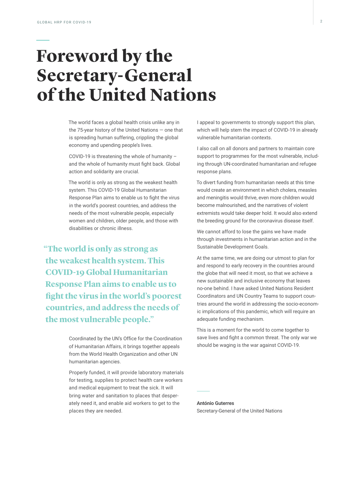## **Foreword by the Secretary-General of the United Nations**

The world faces a global health crisis unlike any in the 75-year history of the United Nations — one that is spreading human suffering, crippling the global economy and upending people's lives.

COVID-19 is threatening the whole of humanity – and the whole of humanity must fight back. Global action and solidarity are crucial.

The world is only as strong as the weakest health system. This COVID-19 Global Humanitarian Response Plan aims to enable us to fight the virus in the world's poorest countries, and address the needs of the most vulnerable people, especially women and children, older people, and those with disabilities or chronic illness.

**"The world is only as strong as the weakest health system. This COVID-19 Global Humanitarian Response Plan aims to enable us to fight the virus in the world's poorest countries, and address the needs of the most vulnerable people."**

> Coordinated by the UN's Office for the Coordination of Humanitarian Affairs, it brings together appeals from the World Health Organization and other UN humanitarian agencies.

Properly funded, it will provide laboratory materials for testing, supplies to protect health care workers and medical equipment to treat the sick. It will bring water and sanitation to places that desperately need it, and enable aid workers to get to the places they are needed.

I appeal to governments to strongly support this plan, which will help stem the impact of COVID-19 in already vulnerable humanitarian contexts.

I also call on all donors and partners to maintain core support to programmes for the most vulnerable, including through UN-coordinated humanitarian and refugee response plans.

To divert funding from humanitarian needs at this time would create an environment in which cholera, measles and meningitis would thrive, even more children would become malnourished, and the narratives of violent extremists would take deeper hold. It would also extend the breeding ground for the coronavirus disease itself.

We cannot afford to lose the gains we have made through investments in humanitarian action and in the Sustainable Development Goals.

At the same time, we are doing our utmost to plan for and respond to early recovery in the countries around the globe that will need it most, so that we achieve a new sustainable and inclusive economy that leaves no-one behind. I have asked United Nations Resident Coordinators and UN Country Teams to support countries around the world in addressing the socio-economic implications of this pandemic, which will require an adequate funding mechanism.

This is a moment for the world to come together to save lives and fight a common threat. The only war we should be waging is the war against COVID-19.

**António Guterres** Secretary-General of the United Nations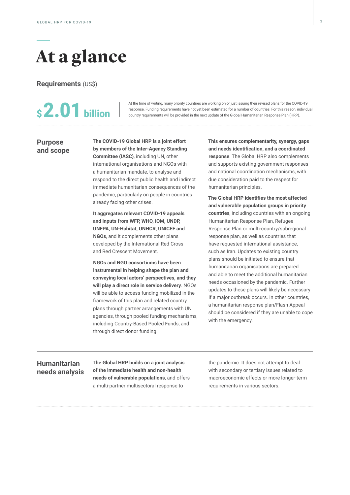## **At a glance**

**Requirements** (US\$)

# **\$2.01** billion

At the time of writing, many priority countries are working on or just issuing their revised plans for the COVID-19 response. Funding requirements have not yet been estimated for a number of countries. For this reason, individual country requirements will be provided in the next update of the Global Humanitarian Response Plan (HRP).

#### **Purpose and scope**

**The COVID-19 Global HRP is a joint effort by members of the Inter-Agency Standing Committee (IASC)**, including UN, other international organisations and NGOs with a humanitarian mandate, to analyse and respond to the direct public health and indirect immediate humanitarian consequences of the pandemic, particularly on people in countries already facing other crises.

**It aggregates relevant COVID-19 appeals and inputs from WFP, WHO, IOM, UNDP, UNFPA, UN-Habitat, UNHCR, UNICEF and NGOs**, and it complements other plans developed by the International Red Cross and Red Crescent Movement.

**NGOs and NGO consortiums have been instrumental in helping shape the plan and conveying local actors' perspectives, and they will play a direct role in service delivery**. NGOs will be able to access funding mobilized in the framework of this plan and related country plans through partner arrangements with UN agencies, through pooled funding mechanisms, including Country-Based Pooled Funds, and through direct donor funding.

**This ensures complementarity, synergy, gaps and needs identification, and a coordinated response**. The Global HRP also complements and supports existing government responses and national coordination mechanisms, with due consideration paid to the respect for humanitarian principles.

**The Global HRP identifies the most affected and vulnerable population groups in priority countries**, including countries with an ongoing Humanitarian Response Plan, Refugee Response Plan or multi-country/subregional response plan, as well as countries that have requested international assistance, such as Iran. Updates to existing country plans should be initiated to ensure that humanitarian organisations are prepared and able to meet the additional humanitarian needs occasioned by the pandemic. Further updates to these plans will likely be necessary if a major outbreak occurs. In other countries, a humanitarian response plan/Flash Appeal should be considered if they are unable to cope with the emergency.

### **Humanitarian needs analysis**

**The Global HRP builds on a joint analysis of the immediate health and non-health needs of vulnerable populations**, and offers a multi-partner multisectoral response to

the pandemic. It does not attempt to deal with secondary or tertiary issues related to macroeconomic effects or more longer-term requirements in various sectors.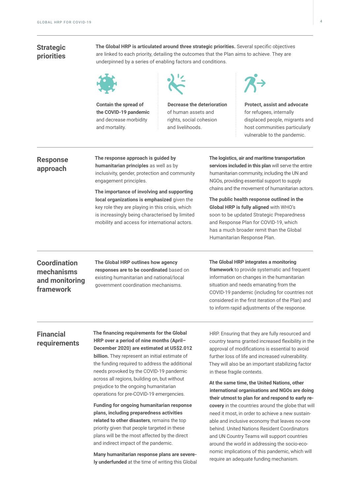### **Strategic priorities**

**The Global HRP is articulated around three strategic priorities.** Several specific objectives are linked to each priority, detailing the outcomes that the Plan aims to achieve. They are underpinned by a series of enabling factors and conditions.



**Contain the spread of the COVID-19 pandemic** and decrease morbidity and mortality.



**Decrease the deterioration**  of human assets and rights, social cohesion and livelihoods.



**Protect, assist and advocate** for refugees, internally displaced people, migrants and host communities particularly vulnerable to the pandemic.

#### **Response approach**

**The response approach is guided by humanitarian principles** as well as by inclusivity, gender, protection and community engagement principles.

**The importance of involving and supporting local organizations is emphasized** given the key role they are playing in this crisis, which is increasingly being characterised by limited mobility and access for international actors.

**The logistics, air and maritime transportation services included in this plan** will serve the entire humanitarian community, including the UN and NGOs, providing essential support to supply chains and the movement of humanitarian actors.

**The public health response outlined in the Global HRP is fully aligned** with WHO's soon to be updated Strategic Preparedness and Response Plan for COVID-19, which has a much broader remit than the Global Humanitarian Response Plan.

**Coordination mechanisms and monitoring framework**

**The Global HRP outlines how agency responses are to be coordinated** based on existing humanitarian and national/local government coordination mechanisms.

**The Global HRP integrates a monitoring** 

**framework** to provide systematic and frequent information on changes in the humanitarian situation and needs emanating from the COVID-19 pandemic (including for countries not considered in the first iteration of the Plan) and to inform rapid adjustments of the response.

### **Financial requirements**

**The financing requirements for the Global HRP over a period of nine months (April– December 2020) are estimated at US\$2.012 billion.** They represent an initial estimate of the funding required to address the additional needs provoked by the COVID-19 pandemic across all regions, building on, but without prejudice to the ongoing humanitarian operations for pre-COVID-19 emergencies.

**Funding for ongoing humanitarian response plans, including preparedness activities related to other disasters**, remains the top priority given that people targeted in these plans will be the most affected by the direct and indirect impact of the pandemic.

**Many humanitarian response plans are severely underfunded** at the time of writing this Global

HRP. Ensuring that they are fully resourced and country teams granted increased flexibility in the approval of modifications is essential to avoid further loss of life and increased vulnerability. They will also be an important stabilizing factor in these fragile contexts.

**At the same time, the United Nations, other international organisations and NGOs are doing their utmost to plan for and respond to early recovery** in the countries around the globe that will need it most, in order to achieve a new sustainable and inclusive economy that leaves no-one behind. United Nations Resident Coordinators and UN Country Teams will support countries around the world in addressing the socio-economic implications of this pandemic, which will require an adequate funding mechanism.